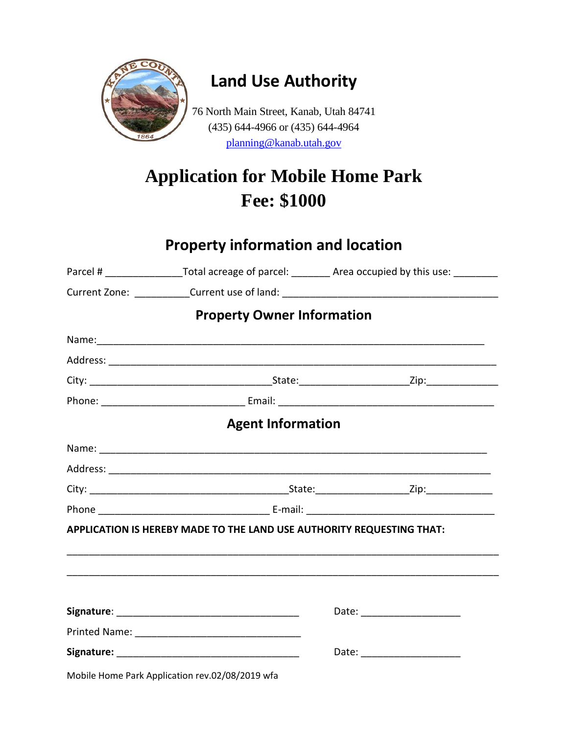

## **Land Use Authority**

76 North Main Street, Kanab, Utah 84741 (435) 644-4966 or (435) 644-4964 [planning@kanab.utah.gov](mailto:planning@kanab.utah.gov)

# **Application for Mobile Home Park Fee: \$1000**

#### **Property information and location**

|                                                                       | Parcel # ____________________Total acreage of parcel: __________ Area occupied by this use: ________ |
|-----------------------------------------------------------------------|------------------------------------------------------------------------------------------------------|
|                                                                       | Current Zone: ____________Current use of land: __________________________________                    |
| <b>Property Owner Information</b>                                     |                                                                                                      |
|                                                                       |                                                                                                      |
|                                                                       |                                                                                                      |
|                                                                       |                                                                                                      |
|                                                                       |                                                                                                      |
| <b>Agent Information</b>                                              |                                                                                                      |
|                                                                       |                                                                                                      |
|                                                                       |                                                                                                      |
|                                                                       |                                                                                                      |
|                                                                       |                                                                                                      |
| APPLICATION IS HEREBY MADE TO THE LAND USE AUTHORITY REQUESTING THAT: |                                                                                                      |
|                                                                       |                                                                                                      |
|                                                                       |                                                                                                      |
|                                                                       | Date: _______________________                                                                        |
|                                                                       |                                                                                                      |
|                                                                       |                                                                                                      |
| Mobile Home Park Application rev.02/08/2019 wfa                       |                                                                                                      |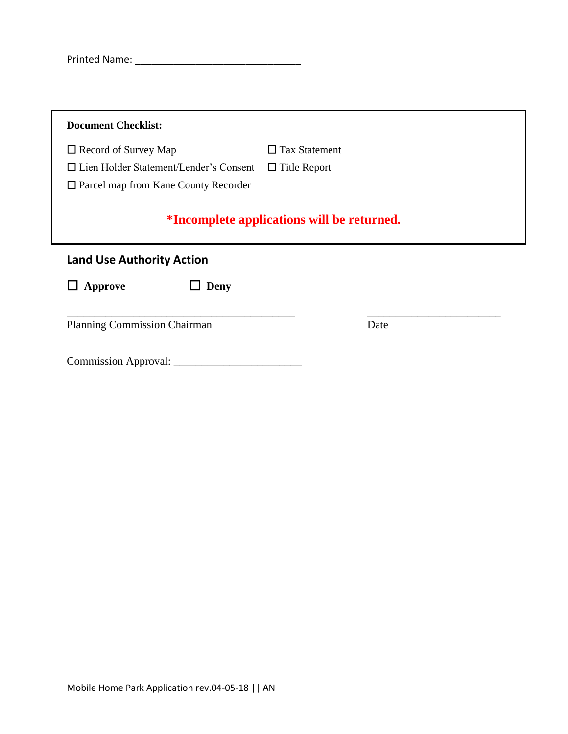| <b>Printed Name:</b> |
|----------------------|
|----------------------|

| $\Box$ Record of Survey Map              | $\Box$ Tax Statement                              |
|------------------------------------------|---------------------------------------------------|
| □ Lien Holder Statement/Lender's Consent | $\Box$ Title Report                               |
| □ Parcel map from Kane County Recorder   |                                                   |
|                                          |                                                   |
|                                          | <i>*Incomplete applications will be returned.</i> |
| <b>Land Use Authority Action</b>         |                                                   |
| $\Box$ Approve<br>$\Box$ Deny            |                                                   |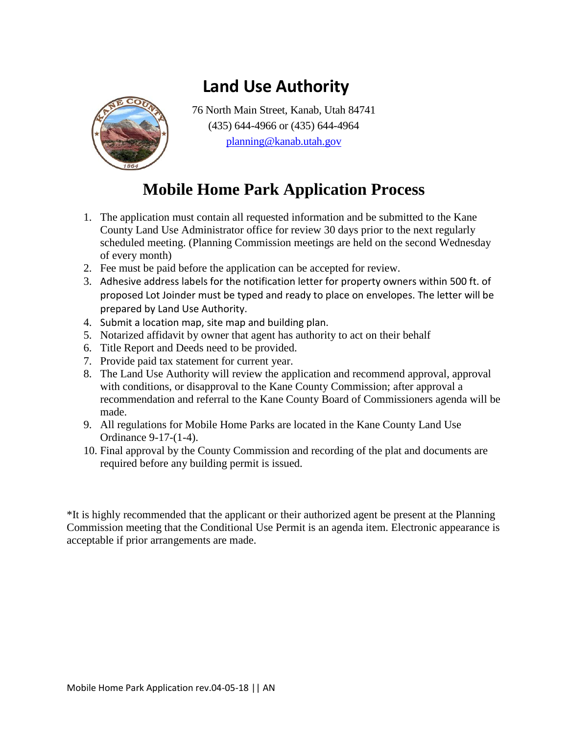

## **Land Use Authority**

76 North Main Street, Kanab, Utah 84741 (435) 644-4966 or (435) 644-4964 [planning@kanab.utah.gov](mailto:planning@kanab.utah.gov)

### **Mobile Home Park Application Process**

- 1. The application must contain all requested information and be submitted to the Kane County Land Use Administrator office for review 30 days prior to the next regularly scheduled meeting. (Planning Commission meetings are held on the second Wednesday of every month)
- 2. Fee must be paid before the application can be accepted for review.
- 3. Adhesive address labels for the notification letter for property owners within 500 ft. of proposed Lot Joinder must be typed and ready to place on envelopes. The letter will be prepared by Land Use Authority.
- 4. Submit a location map, site map and building plan.
- 5. Notarized affidavit by owner that agent has authority to act on their behalf
- 6. Title Report and Deeds need to be provided.
- 7. Provide paid tax statement for current year.
- 8. The Land Use Authority will review the application and recommend approval, approval with conditions, or disapproval to the Kane County Commission; after approval a recommendation and referral to the Kane County Board of Commissioners agenda will be made.
- 9. All regulations for Mobile Home Parks are located in the Kane County Land Use Ordinance 9-17-(1-4).
- 10. Final approval by the County Commission and recording of the plat and documents are required before any building permit is issued.

\*It is highly recommended that the applicant or their authorized agent be present at the Planning Commission meeting that the Conditional Use Permit is an agenda item. Electronic appearance is acceptable if prior arrangements are made.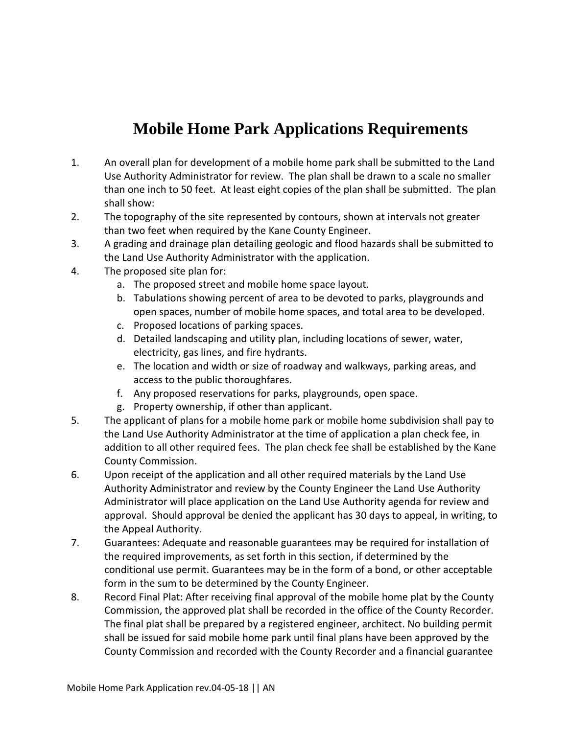### **Mobile Home Park Applications Requirements**

- 1. An overall plan for development of a mobile home park shall be submitted to the Land Use Authority Administrator for review. The plan shall be drawn to a scale no smaller than one inch to 50 feet. At least eight copies of the plan shall be submitted. The plan shall show:
- 2. The topography of the site represented by contours, shown at intervals not greater than two feet when required by the Kane County Engineer.
- 3. A grading and drainage plan detailing geologic and flood hazards shall be submitted to the Land Use Authority Administrator with the application.
- 4. The proposed site plan for:
	- a. The proposed street and mobile home space layout.
	- b. Tabulations showing percent of area to be devoted to parks, playgrounds and open spaces, number of mobile home spaces, and total area to be developed.
	- c. Proposed locations of parking spaces.
	- d. Detailed landscaping and utility plan, including locations of sewer, water, electricity, gas lines, and fire hydrants.
	- e. The location and width or size of roadway and walkways, parking areas, and access to the public thoroughfares.
	- f. Any proposed reservations for parks, playgrounds, open space.
	- g. Property ownership, if other than applicant.
- 5. The applicant of plans for a mobile home park or mobile home subdivision shall pay to the Land Use Authority Administrator at the time of application a plan check fee, in addition to all other required fees. The plan check fee shall be established by the Kane County Commission.
- 6. Upon receipt of the application and all other required materials by the Land Use Authority Administrator and review by the County Engineer the Land Use Authority Administrator will place application on the Land Use Authority agenda for review and approval. Should approval be denied the applicant has 30 days to appeal, in writing, to the Appeal Authority.
- 7. Guarantees: Adequate and reasonable guarantees may be required for installation of the required improvements, as set forth in this section, if determined by the conditional use permit. Guarantees may be in the form of a bond, or other acceptable form in the sum to be determined by the County Engineer.
- 8. Record Final Plat: After receiving final approval of the mobile home plat by the County Commission, the approved plat shall be recorded in the office of the County Recorder. The final plat shall be prepared by a registered engineer, architect. No building permit shall be issued for said mobile home park until final plans have been approved by the County Commission and recorded with the County Recorder and a financial guarantee